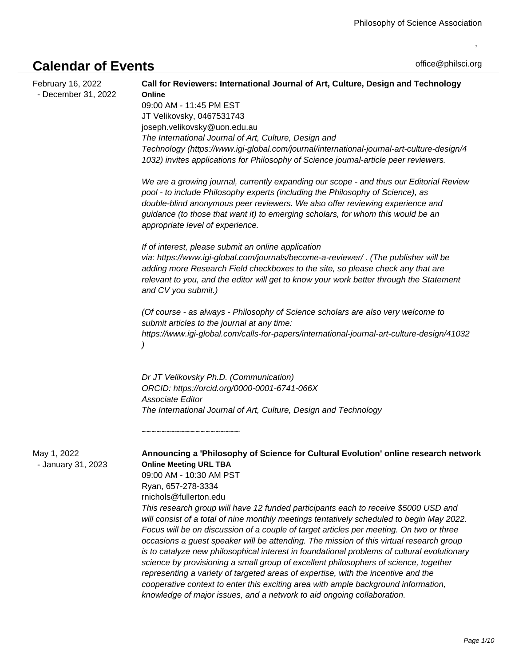## **Calendar of Events**

,

| February 16, 2022<br>- December 31, 2022 | Call for Reviewers: International Journal of Art, Culture, Design and Technology<br>Online<br>09:00 AM - 11:45 PM EST<br>JT Velikovsky, 0467531743<br>joseph.velikovsky@uon.edu.au<br>The International Journal of Art, Culture, Design and<br>Technology (https://www.igi-global.com/journal/international-journal-art-culture-design/4<br>1032) invites applications for Philosophy of Science journal-article peer reviewers.                                                                                                                                                                                                                                                                                                                                                                                                                                                                                                                                                                                      |
|------------------------------------------|-----------------------------------------------------------------------------------------------------------------------------------------------------------------------------------------------------------------------------------------------------------------------------------------------------------------------------------------------------------------------------------------------------------------------------------------------------------------------------------------------------------------------------------------------------------------------------------------------------------------------------------------------------------------------------------------------------------------------------------------------------------------------------------------------------------------------------------------------------------------------------------------------------------------------------------------------------------------------------------------------------------------------|
|                                          | We are a growing journal, currently expanding our scope - and thus our Editorial Review<br>pool - to include Philosophy experts (including the Philosophy of Science), as<br>double-blind anonymous peer reviewers. We also offer reviewing experience and<br>guidance (to those that want it) to emerging scholars, for whom this would be an<br>appropriate level of experience.                                                                                                                                                                                                                                                                                                                                                                                                                                                                                                                                                                                                                                    |
|                                          | If of interest, please submit an online application<br>via: https://www.igi-global.com/journals/become-a-reviewer/ . (The publisher will be<br>adding more Research Field checkboxes to the site, so please check any that are<br>relevant to you, and the editor will get to know your work better through the Statement<br>and CV you submit.)                                                                                                                                                                                                                                                                                                                                                                                                                                                                                                                                                                                                                                                                      |
|                                          | (Of course - as always - Philosophy of Science scholars are also very welcome to<br>submit articles to the journal at any time:<br>https://www.igi-global.com/calls-for-papers/international-journal-art-culture-design/41032                                                                                                                                                                                                                                                                                                                                                                                                                                                                                                                                                                                                                                                                                                                                                                                         |
|                                          | Dr JT Velikovsky Ph.D. (Communication)<br>ORCID: https://orcid.org/0000-0001-6741-066X<br>Associate Editor<br>The International Journal of Art, Culture, Design and Technology                                                                                                                                                                                                                                                                                                                                                                                                                                                                                                                                                                                                                                                                                                                                                                                                                                        |
|                                          | ,,,,,,,,,,,,,,,,,,,,,,,,,                                                                                                                                                                                                                                                                                                                                                                                                                                                                                                                                                                                                                                                                                                                                                                                                                                                                                                                                                                                             |
| May 1, 2022<br>- January 31, 2023        | Announcing a 'Philosophy of Science for Cultural Evolution' online research network<br><b>Online Meeting URL TBA</b><br>09:00 AM - 10:30 AM PST<br>Ryan, 657-278-3334<br>rnichols@fullerton.edu<br>This research group will have 12 funded participants each to receive \$5000 USD and<br>will consist of a total of nine monthly meetings tentatively scheduled to begin May 2022.<br>Focus will be on discussion of a couple of target articles per meeting. On two or three<br>occasions a guest speaker will be attending. The mission of this virtual research group<br>is to catalyze new philosophical interest in foundational problems of cultural evolutionary<br>science by provisioning a small group of excellent philosophers of science, together<br>representing a variety of targeted areas of expertise, with the incentive and the<br>cooperative context to enter this exciting area with ample background information,<br>knowledge of major issues, and a network to aid ongoing collaboration. |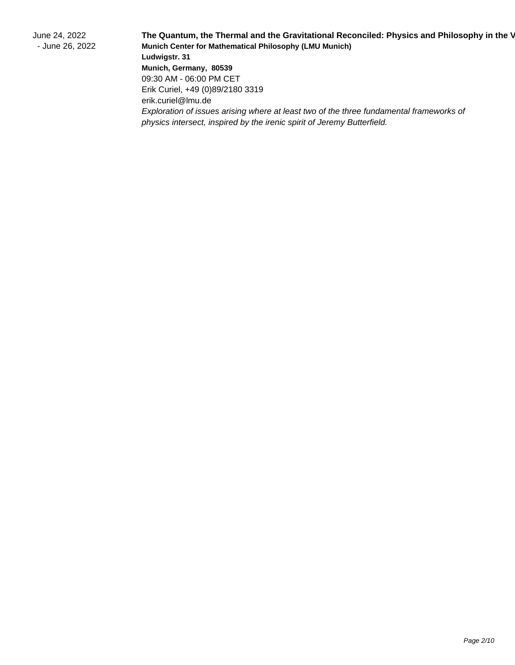June 24, 2022 - June 26, 2022 The Quantum, the Thermal and the Gravitational Reconciled: Physics and Philosophy in the V **Munich Center for Mathematical Philosophy (LMU Munich) Ludwigstr. 31 Munich, Germany, 80539** 09:30 AM - 06:00 PM CET Erik Curiel, +49 (0)89/2180 3319 erik.curiel@lmu.de Exploration of issues arising where at least two of the three fundamental frameworks of physics intersect, inspired by the irenic spirit of Jeremy Butterfield.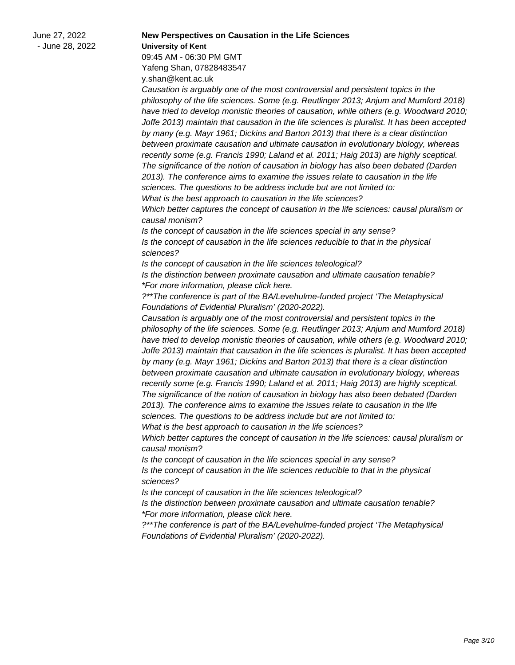June 27, 2022 - June 28, 2022

**New Perspectives on Causation in the Life Sciences University of Kent** 09:45 AM - 06:30 PM GMT Yafeng Shan, 07828483547 y.shan@kent.ac.uk

Causation is arguably one of the most controversial and persistent topics in the philosophy of the life sciences. Some (e.g. Reutlinger 2013; Anjum and Mumford 2018) have tried to develop monistic theories of causation, while others (e.g. Woodward 2010; Joffe 2013) maintain that causation in the life sciences is pluralist. It has been accepted by many (e.g. Mayr 1961; Dickins and Barton 2013) that there is a clear distinction between proximate causation and ultimate causation in evolutionary biology, whereas recently some (e.g. Francis 1990; Laland et al. 2011; Haig 2013) are highly sceptical. The significance of the notion of causation in biology has also been debated (Darden 2013). The conference aims to examine the issues relate to causation in the life sciences. The questions to be address include but are not limited to: What is the best approach to causation in the life sciences?

Which better captures the concept of causation in the life sciences: causal pluralism or causal monism?

Is the concept of causation in the life sciences special in any sense? Is the concept of causation in the life sciences reducible to that in the physical sciences?

Is the concept of causation in the life sciences teleological? Is the distinction between proximate causation and ultimate causation tenable? \*For more information, please click here.

?\*\*The conference is part of the BA/Levehulme-funded project 'The Metaphysical Foundations of Evidential Pluralism' (2020-2022).

Causation is arguably one of the most controversial and persistent topics in the philosophy of the life sciences. Some (e.g. Reutlinger 2013; Anjum and Mumford 2018) have tried to develop monistic theories of causation, while others (e.g. Woodward 2010; Joffe 2013) maintain that causation in the life sciences is pluralist. It has been accepted by many (e.g. Mayr 1961; Dickins and Barton 2013) that there is a clear distinction between proximate causation and ultimate causation in evolutionary biology, whereas recently some (e.g. Francis 1990; Laland et al. 2011; Haig 2013) are highly sceptical. The significance of the notion of causation in biology has also been debated (Darden 2013). The conference aims to examine the issues relate to causation in the life sciences. The questions to be address include but are not limited to:

What is the best approach to causation in the life sciences?

Which better captures the concept of causation in the life sciences: causal pluralism or causal monism?

Is the concept of causation in the life sciences special in any sense? Is the concept of causation in the life sciences reducible to that in the physical sciences?

Is the concept of causation in the life sciences teleological?

Is the distinction between proximate causation and ultimate causation tenable? \*For more information, please click here.

?\*\*The conference is part of the BA/Levehulme-funded project 'The Metaphysical Foundations of Evidential Pluralism' (2020-2022).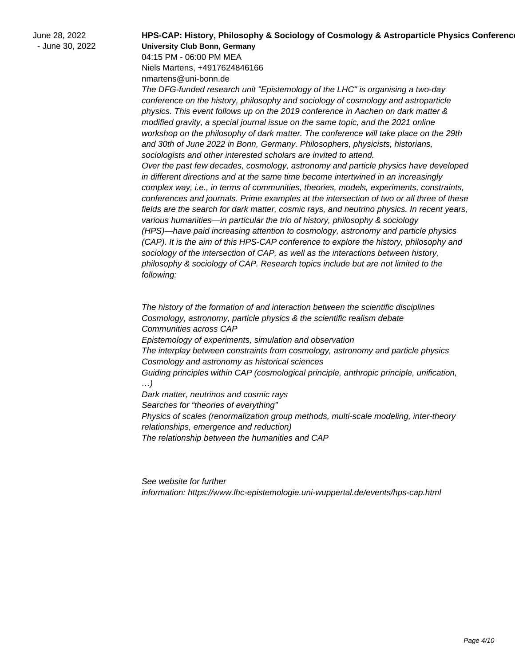June 28, 2022 - June 30, 2022 **HPS-CAP: History, Philosophy & Sociology of Cosmology & Astroparticle Physics Conference University Club Bonn, Germany**

04:15 PM - 06:00 PM MEA Niels Martens, +4917624846166 nmartens@uni-bonn.de

The DFG-funded research unit "Epistemology of the LHC" is organising a two-day conference on the history, philosophy and sociology of cosmology and astroparticle physics. This event follows up on the 2019 conference in Aachen on dark matter & modified gravity, a special journal issue on the same topic, and the 2021 online workshop on the philosophy of dark matter. The conference will take place on the 29th and 30th of June 2022 in Bonn, Germany. Philosophers, physicists, historians, sociologists and other interested scholars are invited to attend. Over the past few decades, cosmology, astronomy and particle physics have developed in different directions and at the same time become intertwined in an increasingly complex way, i.e., in terms of communities, theories, models, experiments, constraints, conferences and journals. Prime examples at the intersection of two or all three of these fields are the search for dark matter, cosmic rays, and neutrino physics. In recent years, various humanities—in particular the trio of history, philosophy & sociology (HPS)—have paid increasing attention to cosmology, astronomy and particle physics (CAP). It is the aim of this HPS-CAP conference to explore the history, philosophy and sociology of the intersection of CAP, as well as the interactions between history, philosophy & sociology of CAP. Research topics include but are not limited to the following:

 The history of the formation of and interaction between the scientific disciplines Cosmology, astronomy, particle physics & the scientific realism debate Communities across CAP Epistemology of experiments, simulation and observation The interplay between constraints from cosmology, astronomy and particle physics Cosmology and astronomy as historical sciences Guiding principles within CAP (cosmological principle, anthropic principle, unification, …) Dark matter, neutrinos and cosmic rays Searches for "theories of everything"

 Physics of scales (renormalization group methods, multi-scale modeling, inter-theory relationships, emergence and reduction)

 The relationship between the humanities and CAP

See website for further information: https://www.lhc-epistemologie.uni-wuppertal.de/events/hps-cap.html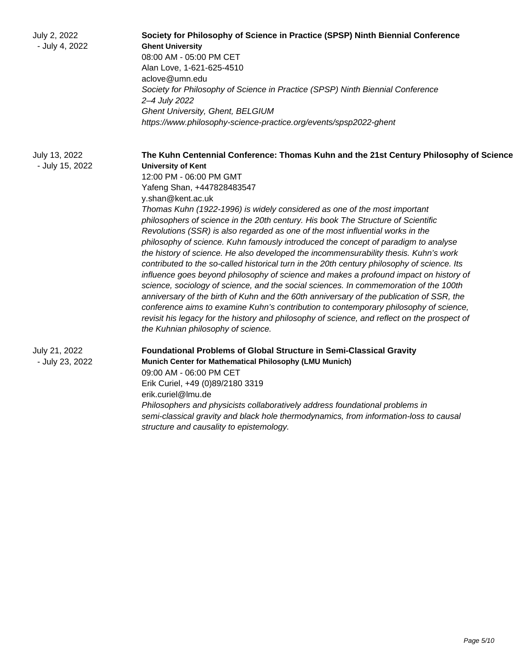| July 2, 2022<br>- July 4, 2022   | Society for Philosophy of Science in Practice (SPSP) Ninth Biennial Conference<br><b>Ghent University</b><br>08:00 AM - 05:00 PM CET<br>Alan Love, 1-621-625-4510<br>aclove@umn.edu<br>Society for Philosophy of Science in Practice (SPSP) Ninth Biennial Conference<br>2-4 July 2022<br><b>Ghent University, Ghent, BELGIUM</b><br>https://www.philosophy-science-practice.org/events/spsp2022-ghent                                                                                                                                                                                                                                                                                                                                                                                                                                                                                                                                                                                                                                                                                                                                                                                                                                          |
|----------------------------------|-------------------------------------------------------------------------------------------------------------------------------------------------------------------------------------------------------------------------------------------------------------------------------------------------------------------------------------------------------------------------------------------------------------------------------------------------------------------------------------------------------------------------------------------------------------------------------------------------------------------------------------------------------------------------------------------------------------------------------------------------------------------------------------------------------------------------------------------------------------------------------------------------------------------------------------------------------------------------------------------------------------------------------------------------------------------------------------------------------------------------------------------------------------------------------------------------------------------------------------------------|
| July 13, 2022<br>- July 15, 2022 | The Kuhn Centennial Conference: Thomas Kuhn and the 21st Century Philosophy of Science<br><b>University of Kent</b><br>12:00 PM - 06:00 PM GMT<br>Yafeng Shan, +447828483547<br>y.shan@kent.ac.uk<br>Thomas Kuhn (1922-1996) is widely considered as one of the most important<br>philosophers of science in the 20th century. His book The Structure of Scientific<br>Revolutions (SSR) is also regarded as one of the most influential works in the<br>philosophy of science. Kuhn famously introduced the concept of paradigm to analyse<br>the history of science. He also developed the incommensurability thesis. Kuhn's work<br>contributed to the so-called historical turn in the 20th century philosophy of science. Its<br>influence goes beyond philosophy of science and makes a profound impact on history of<br>science, sociology of science, and the social sciences. In commemoration of the 100th<br>anniversary of the birth of Kuhn and the 60th anniversary of the publication of SSR, the<br>conference aims to examine Kuhn's contribution to contemporary philosophy of science,<br>revisit his legacy for the history and philosophy of science, and reflect on the prospect of<br>the Kuhnian philosophy of science. |
| July 21, 2022<br>- July 23, 2022 | <b>Foundational Problems of Global Structure in Semi-Classical Gravity</b><br>Munich Center for Mathematical Philosophy (LMU Munich)<br>09:00 AM - 06:00 PM CET<br>Erik Curiel, +49 (0)89/2180 3319<br>erik.curiel@lmu.de<br>Philosophers and physicists collaboratively address foundational problems in<br>semi-classical gravity and black hole thermodynamics, from information-loss to causal<br>structure and causality to epistemology.                                                                                                                                                                                                                                                                                                                                                                                                                                                                                                                                                                                                                                                                                                                                                                                                  |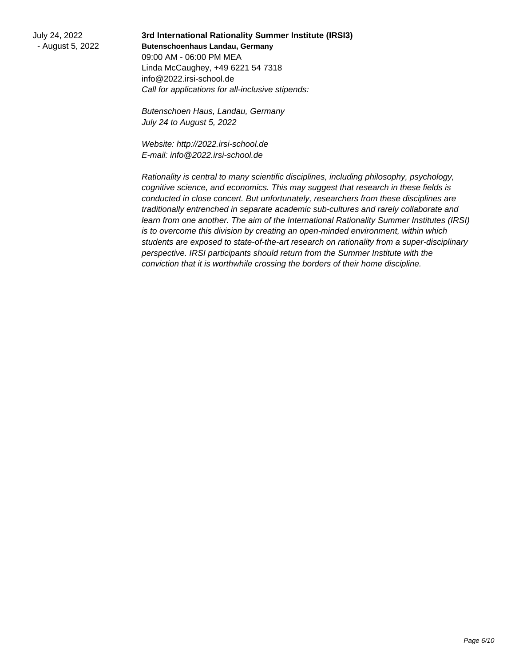July 24, 2022 - August 5, 2022

**3rd International Rationality Summer Institute (IRSI3) Butenschoenhaus Landau, Germany** 09:00 AM - 06:00 PM MEA Linda McCaughey, +49 6221 54 7318 info@2022.irsi-school.de Call for applications for all-inclusive stipends:

Butenschoen Haus, Landau, Germany July 24 to August 5, 2022

Website: http://2022.irsi-school.de E-mail: info@2022.irsi-school.de

Rationality is central to many scientific disciplines, including philosophy, psychology, cognitive science, and economics. This may suggest that research in these fields is conducted in close concert. But unfortunately, researchers from these disciplines are traditionally entrenched in separate academic sub-cultures and rarely collaborate and learn from one another. The aim of the International Rationality Summer Institutes (IRSI) is to overcome this division by creating an open-minded environment, within which students are exposed to state-of-the-art research on rationality from a super-disciplinary perspective. IRSI participants should return from the Summer Institute with the conviction that it is worthwhile crossing the borders of their home discipline.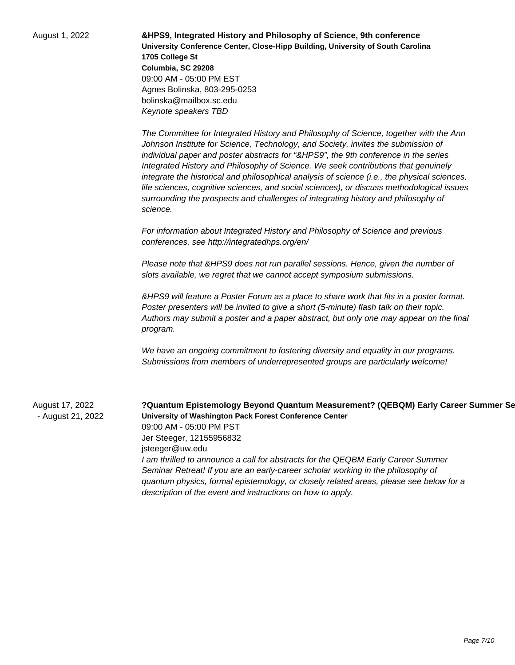August 1, 2022 **&HPS9, Integrated History and Philosophy of Science, 9th conference University Conference Center, Close-Hipp Building, University of South Carolina 1705 College St Columbia, SC 29208** 09:00 AM - 05:00 PM EST Agnes Bolinska, 803-295-0253 bolinska@mailbox.sc.edu Keynote speakers TBD

> The Committee for Integrated History and Philosophy of Science, together with the Ann Johnson Institute for Science, Technology, and Society, invites the submission of individual paper and poster abstracts for "&HPS9", the 9th conference in the series Integrated History and Philosophy of Science. We seek contributions that genuinely integrate the historical and philosophical analysis of science (i.e., the physical sciences, life sciences, cognitive sciences, and social sciences), or discuss methodological issues surrounding the prospects and challenges of integrating history and philosophy of science.

For information about Integrated History and Philosophy of Science and previous conferences, see http://integratedhps.org/en/

Please note that &HPS9 does not run parallel sessions. Hence, given the number of slots available, we regret that we cannot accept symposium submissions.

&HPS9 will feature a Poster Forum as a place to share work that fits in a poster format. Poster presenters will be invited to give a short (5-minute) flash talk on their topic. Authors may submit a poster and a paper abstract, but only one may appear on the final program.

We have an ongoing commitment to fostering diversity and equality in our programs. Submissions from members of underrepresented groups are particularly welcome!

August 17, 2022 - August 21, 2022 **?Quantum Epistemology Beyond Quantum Measurement? (QEBQM) Early Career Summer Seminar Retreat University of Washington Pack Forest Conference Center** 09:00 AM - 05:00 PM PST Jer Steeger, 12155956832 jsteeger@uw.edu I am thrilled to announce a call for abstracts for the QEQBM Early Career Summer

Seminar Retreat! If you are an early-career scholar working in the philosophy of quantum physics, formal epistemology, or closely related areas, please see below for a description of the event and instructions on how to apply.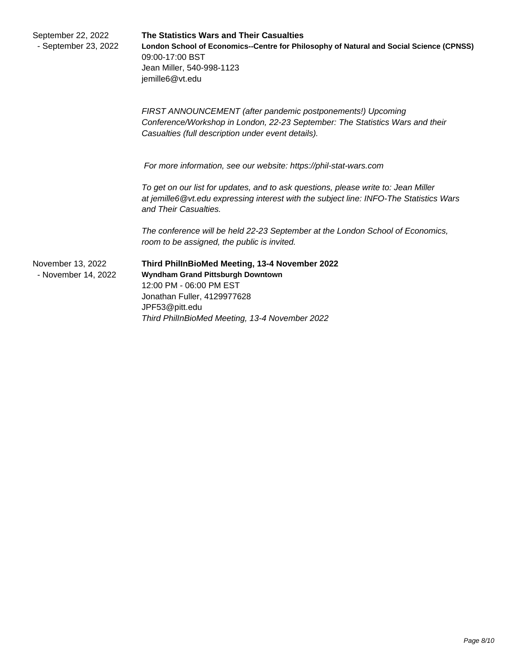| September 22, 2022<br>- September 23, 2022 | The Statistics Wars and Their Casualties<br>London School of Economics--Centre for Philosophy of Natural and Social Science (CPNSS)<br>09:00-17:00 BST<br>Jean Miller, 540-998-1123<br>jemille6@vt.edu            |
|--------------------------------------------|-------------------------------------------------------------------------------------------------------------------------------------------------------------------------------------------------------------------|
|                                            | FIRST ANNOUNCEMENT (after pandemic postponements!) Upcoming<br>Conference/Workshop in London, 22-23 September: The Statistics Wars and their<br>Casualties (full description under event details).                |
|                                            | For more information, see our website: https://phil-stat-wars.com                                                                                                                                                 |
|                                            | To get on our list for updates, and to ask questions, please write to: Jean Miller<br>at jemille6@vt.edu expressing interest with the subject line: INFO-The Statistics Wars<br>and Their Casualties.             |
|                                            | The conference will be held 22-23 September at the London School of Economics,<br>room to be assigned, the public is invited.                                                                                     |
| November 13, 2022<br>- November 14, 2022   | Third PhillnBioMed Meeting, 13-4 November 2022<br>Wyndham Grand Pittsburgh Downtown<br>12:00 PM - 06:00 PM EST<br>Jonathan Fuller, 4129977628<br>JPF53@pitt.edu<br>Third PhillnBioMed Meeting, 13-4 November 2022 |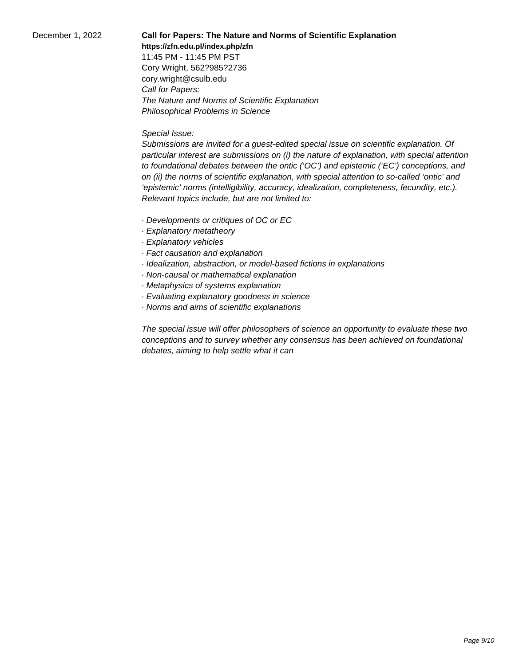December 1, 2022 **Call for Papers: The Nature and Norms of Scientific Explanation**

**https://zfn.edu.pl/index.php/zfn**

11:45 PM - 11:45 PM PST Cory Wright, 562?985?2736 cory.wright@csulb.edu Call for Papers: The Nature and Norms of Scientific Explanation Philosophical Problems in Science

## Special Issue:

Submissions are invited for a guest-edited special issue on scientific explanation. Of particular interest are submissions on (i) the nature of explanation, with special attention to foundational debates between the ontic ('OC') and epistemic ('EC') conceptions, and on (ii) the norms of scientific explanation, with special attention to so-called 'ontic' and 'epistemic' norms (intelligibility, accuracy, idealization, completeness, fecundity, etc.). Relevant topics include, but are not limited to:

- · Developments or critiques of OC or EC
- · Explanatory metatheory
- · Explanatory vehicles
- · Fact causation and explanation
- · Idealization, abstraction, or model-based fictions in explanations
- · Non-causal or mathematical explanation
- · Metaphysics of systems explanation
- · Evaluating explanatory goodness in science
- · Norms and aims of scientific explanations

The special issue will offer philosophers of science an opportunity to evaluate these two conceptions and to survey whether any consensus has been achieved on foundational debates, aiming to help settle what it can